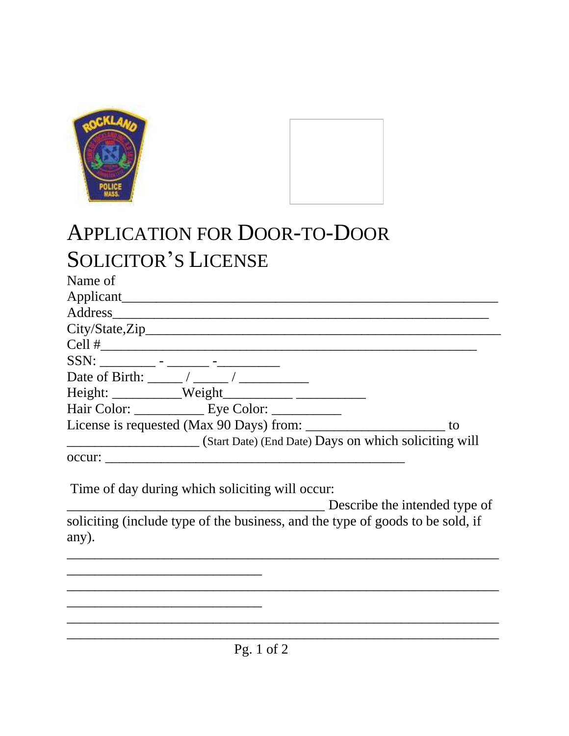



## APPLICATION FOR DOOR-TO-DOOR SOLICITOR'S LICENSE

| Name of                                     |                                                       |    |
|---------------------------------------------|-------------------------------------------------------|----|
| Applicant_                                  |                                                       |    |
| Address                                     |                                                       |    |
|                                             |                                                       |    |
|                                             |                                                       |    |
| $SSN:$ ______________ - ________ - ________ |                                                       |    |
|                                             | Date of Birth: $\frac{1}{2}$ /                        |    |
|                                             | $Height:$ Weight                                      |    |
|                                             | Hair Color: Eye Color:                                |    |
|                                             | License is requested (Max 90 Days) from:              | to |
|                                             | (Start Date) (End Date) Days on which soliciting will |    |
| occur:                                      |                                                       |    |
|                                             |                                                       |    |

Time of day during which soliciting will occur:

\_\_\_\_\_\_\_\_\_\_\_\_\_\_\_\_\_\_\_\_\_\_\_\_\_\_\_\_

\_\_\_\_\_\_\_\_\_\_\_\_\_\_\_\_\_\_\_\_\_\_\_\_\_\_\_\_

\_\_\_\_\_\_\_\_\_\_\_\_\_\_\_\_\_\_\_\_\_\_\_\_\_\_\_\_\_\_\_\_\_\_\_\_\_ Describe the intended type of soliciting (include type of the business, and the type of goods to be sold, if any).

\_\_\_\_\_\_\_\_\_\_\_\_\_\_\_\_\_\_\_\_\_\_\_\_\_\_\_\_\_\_\_\_\_\_\_\_\_\_\_\_\_\_\_\_\_\_\_\_\_\_\_\_\_\_\_\_\_\_\_\_\_\_

\_\_\_\_\_\_\_\_\_\_\_\_\_\_\_\_\_\_\_\_\_\_\_\_\_\_\_\_\_\_\_\_\_\_\_\_\_\_\_\_\_\_\_\_\_\_\_\_\_\_\_\_\_\_\_\_\_\_\_\_\_\_

\_\_\_\_\_\_\_\_\_\_\_\_\_\_\_\_\_\_\_\_\_\_\_\_\_\_\_\_\_\_\_\_\_\_\_\_\_\_\_\_\_\_\_\_\_\_\_\_\_\_\_\_\_\_\_\_\_\_\_\_\_\_  $\overline{\phantom{a}}$  , and the contract of the contract of the contract of the contract of the contract of the contract of the contract of the contract of the contract of the contract of the contract of the contract of the contrac